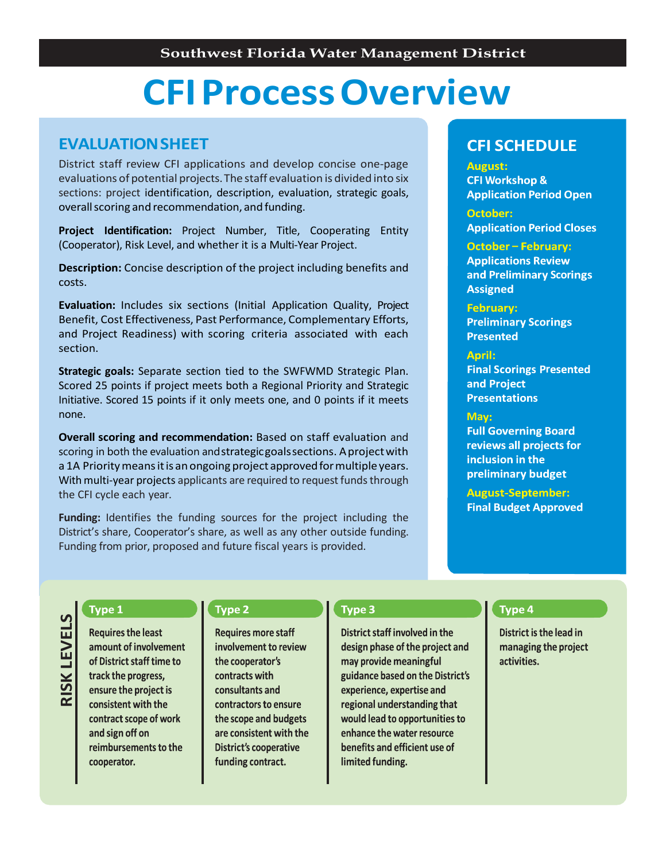# **CFIProcessOverview**

# **EVALUATIONSHEET**

District staff review CFI applications and develop concise one-page evaluations of potential projects.The staff evaluation is divided into six sections: project identification, description, evaluation, strategic goals, overall scoring and recommendation, and funding.

**Project Identification:** Project Number, Title, Cooperating Entity (Cooperator), Risk Level, and whether it is a Multi-Year Project.

**Description:** Concise description of the project including benefits and costs.

**Evaluation:** Includes six sections (Initial Application Quality, Project Benefit, Cost Effectiveness, Past Performance, Complementary Efforts, and Project Readiness) with scoring criteria associated with each section.

**Strategic goals:** Separate section tied to the SWFWMD Strategic Plan. Scored 25 points if project meets both a Regional Priority and Strategic Initiative. Scored 15 points if it only meets one, and 0 points if it meets none.

**Overall scoring and recommendation:** Based on staff evaluation and scoring in both the evaluation and strategic goals sections. A project with a 1A Priority means it is an ongoing project approved for multiple years. With multi-year projects applicants are required to request funds through the CFI cycle each year.

**Funding:** Identifies the funding sources for the project including the District's share, Cooperator's share, as well as any other outside funding. Funding from prior, proposed and future fiscal years is provided.

# **CFI SCHEDULE**

#### **August:**

**CFI Workshop & Application Period Open** 

**October: Application Period Closes** 

**October - February:** 

**Applications Review and Preliminary Scorings Assigned** 

### **February:**

**Preliminary Scorings Presented** 

### April:

**Final Scorings Presented** and Project **Presentations** 

#### **Ma**

**Full Governing Board reviews all projects for** inclusion in the preliminary budget

**August-September: Final Budget Approved** 

# Type 1

**RIS K L EVELS**

**Requires the least** amount of involvement of District staff time to track the progress, ensure the project is consistent with the contract scope of work and sign off on reimbursements to the cooperator.

## Type 2

**Requires more staff** involvement to review the cooperator's contracts with consultants and contractors to ensure the scope and budgets are consistent with the **District's cooperative** funding contract.

## Type 3

District staff involved in the design phase of the project and may provide meaningful guidance based on the District's experience, expertise and regional understanding that would lead to opportunities to enhance the water resource benefits and efficient use of limited funding.

## Type 4

District is the lead in managing the project activities.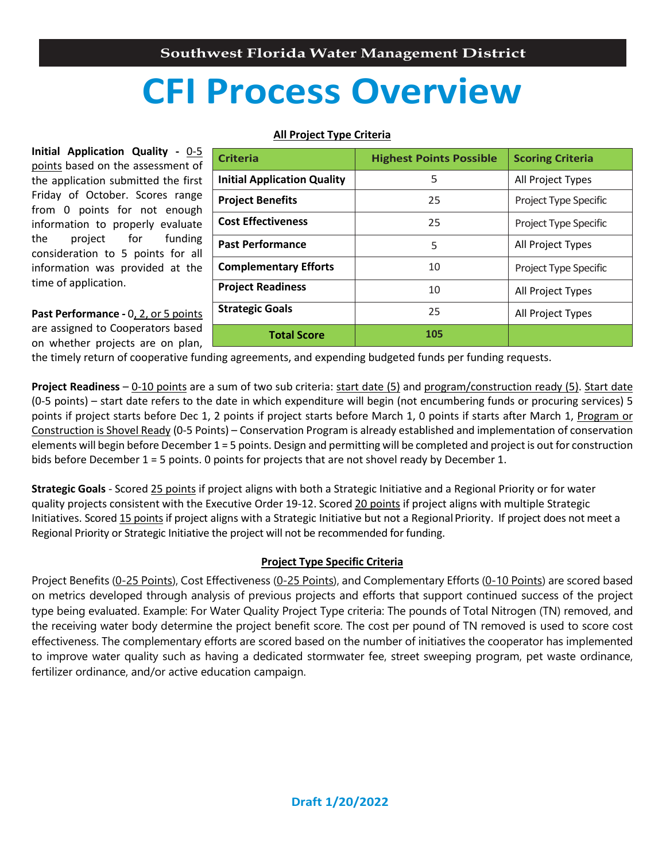# **CFI Process Overview**

## **All Project Type Criteria**

**Initial Application Quality -** 0-5 points based on the assessment of the application submitted the first Friday of October. Scores range from 0 points for not enough information to properly evaluate the project for funding consideration to 5 points for all information was provided at the time of application.

**Past Performance -** 0, 2, or 5 points are assigned to Cooperators based on whether projects are on plan,

| <b>Criteria</b>                    | <b>Highest Points Possible</b> | <b>Scoring Criteria</b> |  |
|------------------------------------|--------------------------------|-------------------------|--|
| <b>Initial Application Quality</b> | 5                              | All Project Types       |  |
| <b>Project Benefits</b>            | 25                             | Project Type Specific   |  |
| <b>Cost Effectiveness</b>          | 25                             | Project Type Specific   |  |
| <b>Past Performance</b>            | 5                              | All Project Types       |  |
| <b>Complementary Efforts</b>       | 10                             | Project Type Specific   |  |
| <b>Project Readiness</b>           | 10                             | All Project Types       |  |
| <b>Strategic Goals</b>             | 25                             | All Project Types       |  |
| <b>Total Score</b>                 | 105                            |                         |  |

the timely return of cooperative funding agreements, and expending budgeted funds per funding requests.

**Project Readiness** – 0-10 points are a sum of two sub criteria: start date (5) and program/construction ready (5). Start date (0-5 points) – start date refers to the date in which expenditure will begin (not encumbering funds or procuring services) 5 points if project starts before Dec 1, 2 points if project starts before March 1, 0 points if starts after March 1, Program or Construction is Shovel Ready (0-5 Points) – Conservation Program is already established and implementation of conservation elements will begin before December 1 = 5 points. Design and permitting will be completed and project is out for construction bids before December 1 = 5 points. 0 points for projects that are not shovel ready by December 1.

**Strategic Goals** - Scored 25 points if project aligns with both a Strategic Initiative and a Regional Priority or for water quality projects consistent with the Executive Order 19-12. Scored 20 points if project aligns with multiple Strategic Initiatives. Scored 15 points if project aligns with a Strategic Initiative but not a Regional Priority. If project does not meet a Regional Priority or Strategic Initiative the project will not be recommended for funding.

## **Project Type Specific Criteria**

Project Benefits (0-25 Points), Cost Effectiveness (0-25 Points), and Complementary Efforts (0-10 Points) are scored based on metrics developed through analysis of previous projects and efforts that support continued success of the project type being evaluated. Example: For Water Quality Project Type criteria: The pounds of Total Nitrogen (TN) removed, and the receiving water body determine the project benefit score. The cost per pound of TN removed is used to score cost effectiveness. The complementary efforts are scored based on the number of initiatives the cooperator has implemented to improve water quality such as having a dedicated stormwater fee, street sweeping program, pet waste ordinance, fertilizer ordinance, and/or active education campaign.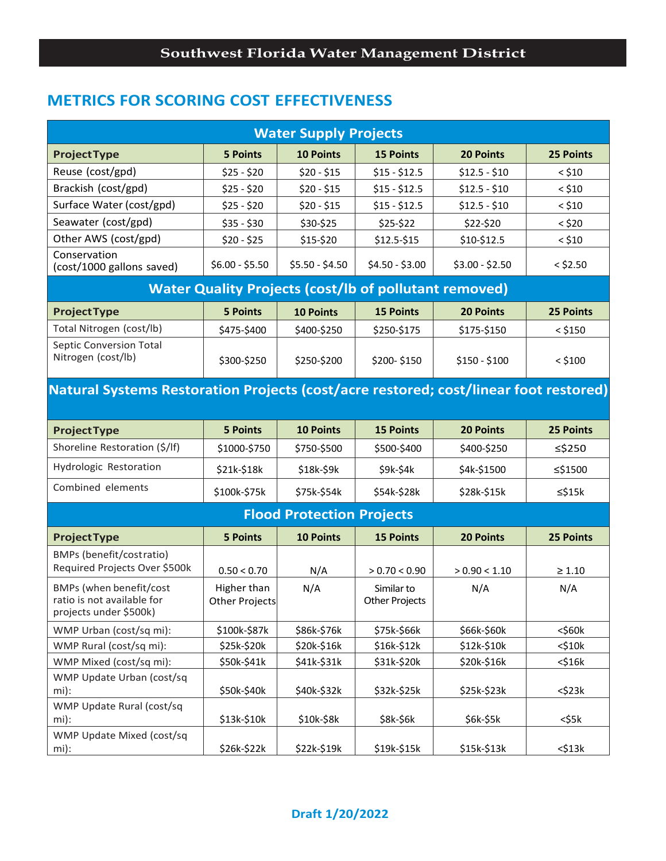# **METRICS FOR SCORING COST EFFECTIVENESS**

| <b>Water Supply Projects</b>                                                         |                               |                                  |                                                              |                  |                  |  |  |  |  |  |  |
|--------------------------------------------------------------------------------------|-------------------------------|----------------------------------|--------------------------------------------------------------|------------------|------------------|--|--|--|--|--|--|
| <b>Project Type</b>                                                                  | <b>5 Points</b>               | <b>10 Points</b>                 | <b>15 Points</b>                                             | <b>20 Points</b> | 25 Points        |  |  |  |  |  |  |
| Reuse (cost/gpd)                                                                     | $$25 - $20$                   | $$20 - $15$                      | $$15 - $12.5$                                                | $$12.5 - $10$    | $<$ \$10         |  |  |  |  |  |  |
| Brackish (cost/gpd)                                                                  | $$25 - $20$                   | $$20 - $15$                      | $$15 - $12.5$                                                | $$12.5 - $10$    | $<$ \$10         |  |  |  |  |  |  |
| Surface Water (cost/gpd)                                                             | $$25 - $20$                   | $$20 - $15$                      | $$15 - $12.5$                                                | $$12.5 - $10$    | $<$ \$10         |  |  |  |  |  |  |
| Seawater (cost/gpd)                                                                  | $$35 - $30$                   | \$30-\$25                        | \$25-\$22                                                    | \$22-\$20        | $<$ \$20         |  |  |  |  |  |  |
| Other AWS (cost/gpd)                                                                 | $$20 - $25$                   | \$15-\$20                        | \$12.5-\$15                                                  | \$10-\$12.5      | $<$ \$10         |  |  |  |  |  |  |
| Conservation<br>(cost/1000 gallons saved)                                            | $$6.00 - $5.50$               | $$5.50 - $4.50$                  | $$4.50 - $3.00$                                              | $$3.00 - $2.50$  | $<$ \$2.50       |  |  |  |  |  |  |
|                                                                                      |                               |                                  | <b>Water Quality Projects (cost/lb of pollutant removed)</b> |                  |                  |  |  |  |  |  |  |
| <b>ProjectType</b>                                                                   | <b>5 Points</b>               | <b>10 Points</b>                 | <b>15 Points</b>                                             | <b>20 Points</b> | <b>25 Points</b> |  |  |  |  |  |  |
| Total Nitrogen (cost/lb)                                                             | \$475-\$400                   | \$400-\$250                      | \$250-\$175                                                  | \$175-\$150      | $<$ \$150        |  |  |  |  |  |  |
| <b>Septic Conversion Total</b><br>Nitrogen (cost/lb)                                 | \$300-\$250                   | \$250-\$200                      | \$200-\$150                                                  | $$150 - $100$    | $<$ \$100        |  |  |  |  |  |  |
| Natural Systems Restoration Projects (cost/acre restored; cost/linear foot restored) |                               |                                  |                                                              |                  |                  |  |  |  |  |  |  |
|                                                                                      |                               |                                  |                                                              |                  |                  |  |  |  |  |  |  |
| <b>ProjectType</b>                                                                   | <b>5 Points</b>               | <b>10 Points</b>                 | <b>15 Points</b>                                             | <b>20 Points</b> | 25 Points        |  |  |  |  |  |  |
| Shoreline Restoration (\$/lf)                                                        | \$1000-\$750                  | \$750-\$500                      | \$500-\$400                                                  | \$400-\$250      | ≤\$250           |  |  |  |  |  |  |
| Hydrologic Restoration                                                               | \$21k-\$18k                   | \$18k-\$9k                       | \$9k-\$4k                                                    | \$4k-\$1500      | ≤\$1500          |  |  |  |  |  |  |
| Combined elements                                                                    | \$100k-\$75k                  | \$75k-\$54k                      | \$54k-\$28k                                                  | \$28k-\$15k      | $\leq$ \$15 $k$  |  |  |  |  |  |  |
|                                                                                      |                               | <b>Flood Protection Projects</b> |                                                              |                  |                  |  |  |  |  |  |  |
| <b>Project Type</b>                                                                  | <b>5 Points</b>               | <b>10 Points</b>                 | <b>15 Points</b>                                             | <b>20 Points</b> | <b>25 Points</b> |  |  |  |  |  |  |
| BMPs (benefit/costratio)<br>Required Projects Over \$500k                            | 0.50 < 0.70                   | N/A                              | > 0.70 < 0.90                                                | > 0.90 < 1.10    | $\geq 1.10$      |  |  |  |  |  |  |
| BMPs (when benefit/cost<br>ratio is not available for<br>projects under \$500k)      | Higher than<br>Other Projects | N/A                              | Similar to<br><b>Other Projects</b>                          | N/A              | N/A              |  |  |  |  |  |  |
| WMP Urban (cost/sq mi):                                                              | \$100k-\$87k                  | \$86k-\$76k                      | \$75k-\$66k                                                  | \$66k-\$60k      | $<$ \$60 $k$     |  |  |  |  |  |  |
| WMP Rural (cost/sq mi):                                                              | \$25k-\$20k                   | \$20k-\$16k                      | \$16k-\$12k                                                  | \$12k-\$10k      | $<$ \$10 $k$     |  |  |  |  |  |  |
| WMP Mixed (cost/sq mi):                                                              | \$50k-\$41k                   | \$41k-\$31k                      | \$31k-\$20k                                                  | \$20k-\$16k      | $<$ \$16 $k$     |  |  |  |  |  |  |
| WMP Update Urban (cost/sq<br>mi):                                                    | \$50k-\$40k                   | \$40k-\$32k                      | \$32k-\$25k                                                  | \$25k-\$23k      | $<$ \$23 $k$     |  |  |  |  |  |  |
| WMP Update Rural (cost/sq<br>mi):                                                    | \$13k-\$10k                   | \$10k-\$8k                       | \$8k-\$6k                                                    | \$6k-\$5k        | <\$5k            |  |  |  |  |  |  |
| WMP Update Mixed (cost/sq<br>mi):                                                    | \$26k-\$22k                   | \$22k-\$19k                      | \$19k-\$15k                                                  | \$15k-\$13k      | $<$ \$13 $k$     |  |  |  |  |  |  |